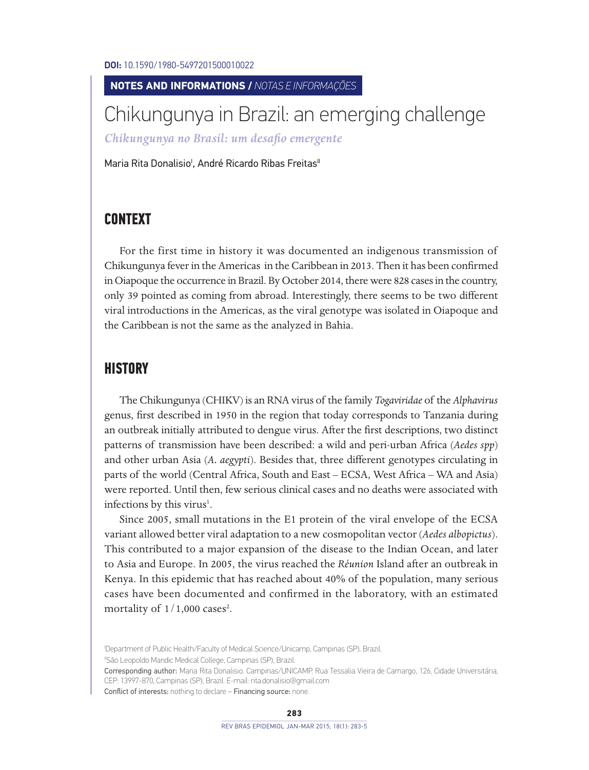DOI: 10.1590/1980-5497201500010022

#### **NOTES AND INFORMATIONS /** *NOTAS E INFORMAÇÕES*

# Chikungunya in Brazil: an emerging challenge

*Chikungunya no Brasil: um desafio emergente*

Maria Rita Donalisio', André Ricardo Ribas Freitas''

# **CONTEXT**

For the first time in history it was documented an indigenous transmission of Chikungunya fever in the Americas in the Caribbean in 2013. Then it has been confirmed in Oiapoque the occurrence in Brazil. By October 2014, there were 828 cases in the country, only 39 pointed as coming from abroad. Interestingly, there seems to be two different viral introductions in the Americas, as the viral genotype was isolated in Oiapoque and the Caribbean is not the same as the analyzed in Bahia.

### **HISTORY**

The Chikungunya (CHIKV) is an RNA virus of the family *Togaviridae* of the *Alphavirus* genus, first described in 1950 in the region that today corresponds to Tanzania during an outbreak initially attributed to dengue virus. After the first descriptions, two distinct patterns of transmission have been described: a wild and peri-urban Africa (*Aedes spp*) and other urban Asia (*A. aegypti*). Besides that, three different genotypes circulating in parts of the world (Central Africa, South and East – ECSA, West Africa – WA and Asia) were reported. Until then, few serious clinical cases and no deaths were associated with infections by this virus<sup>1</sup>.

Since 2005, small mutations in the E1 protein of the viral envelope of the ECSA variant allowed better viral adaptation to a new cosmopolitan vector (*Aedes albopictus*). This contributed to a major expansion of the disease to the Indian Ocean, and later to Asia and Europe. In 2005, the virus reached the *Réunion* Island after an outbreak in Kenya. In this epidemic that has reached about 40% of the population, many serious cases have been documented and confirmed in the laboratory, with an estimated mortality of  $1/1,000$  cases<sup>2</sup>.

I Department of Public Health/Faculty of Medical Science/Unicamp, Campinas (SP), Brazil.

<sup>&</sup>lt;sup>II</sup>São Leopoldo Mandic Medical College, Campinas (SP), Brazil.

Corresponding author: Maria Rita Donalisio. Campinas/UNICAMP. Rua Tessalia Vieira de Camargo, 126, Cidade Universitária, CEP: 13997-870, Campinas (SP), Brazil. E-mail: rita.donalisio@gmail.com Conflict of interests: nothing to declare – Financing source: none.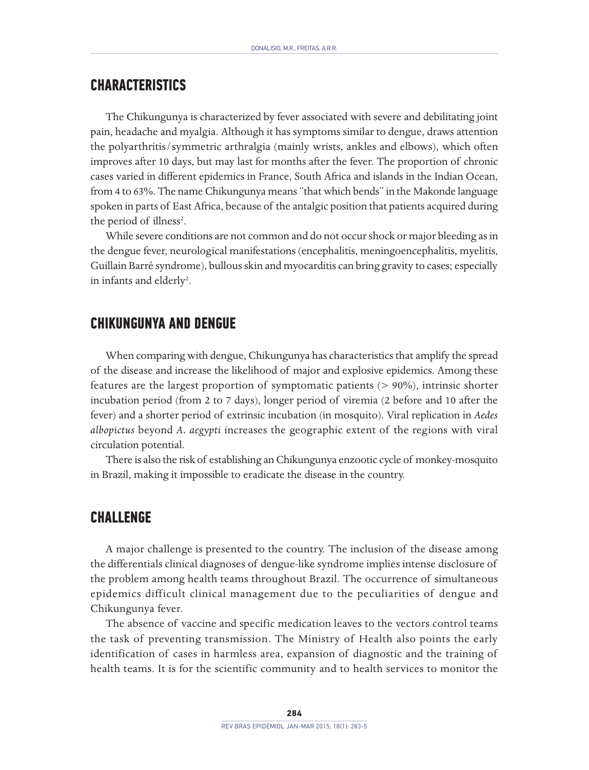# **CHARACTERISTICS**

The Chikungunya is characterized by fever associated with severe and debilitating joint pain, headache and myalgia. Although it has symptoms similar to dengue, draws attention the polyarthritis/symmetric arthralgia (mainly wrists, ankles and elbows), which often improves after 10 days, but may last for months after the fever. The proportion of chronic cases varied in different epidemics in France, South Africa and islands in the Indian Ocean, from 4 to 63%. The name Chikungunya means "that which bends" in the Makonde language spoken in parts of East Africa, because of the antalgic position that patients acquired during the period of illness<sup>2</sup>.

While severe conditions are not common and do not occur shock or major bleeding as in the dengue fever, neurological manifestations (encephalitis, meningoencephalitis, myelitis, Guillain Barré syndrome), bullous skin and myocarditis can bring gravity to cases; especially in infants and elderly<sup>2</sup>.

#### **CHIKUNGUNYA AND DENGUE**

When comparing with dengue, Chikungunya has characteristics that amplify the spread of the disease and increase the likelihood of major and explosive epidemics. Among these features are the largest proportion of symptomatic patients (> 90%), intrinsic shorter incubation period (from 2 to 7 days), longer period of viremia (2 before and 10 after the fever) and a shorter period of extrinsic incubation (in mosquito). Viral replication in *Aedes albopictus* beyond *A. aegypti* increases the geographic extent of the regions with viral circulation potential.

There is also the risk of establishing an Chikungunya enzootic cycle of monkey-mosquito in Brazil, making it impossible to eradicate the disease in the country.

#### **CHALLENGE**

A major challenge is presented to the country. The inclusion of the disease among the differentials clinical diagnoses of dengue-like syndrome implies intense disclosure of the problem among health teams throughout Brazil. The occurrence of simultaneous epidemics difficult clinical management due to the peculiarities of dengue and Chikungunya fever.

The absence of vaccine and specific medication leaves to the vectors control teams the task of preventing transmission. The Ministry of Health also points the early identification of cases in harmless area, expansion of diagnostic and the training of health teams. It is for the scientific community and to health services to monitor the